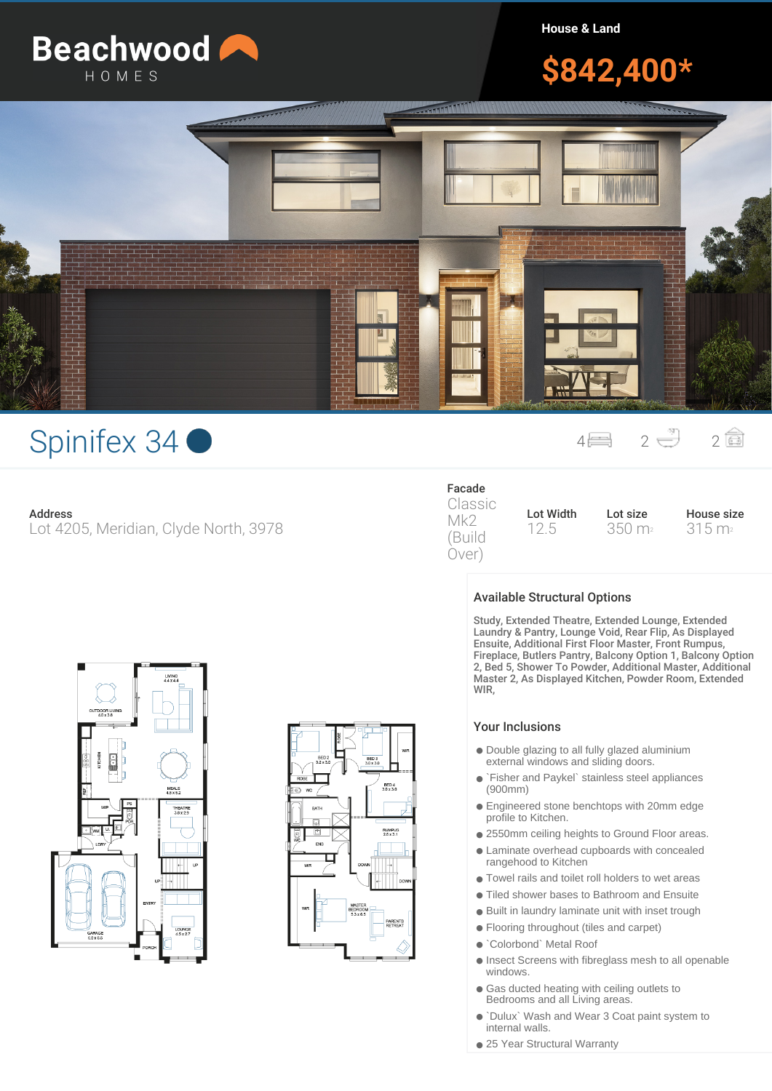

**House & Land**

# **\$842,400\***



# Spinifex 34 <sup>4</sup> <sup>2</sup> <sup>2</sup>

### **Address**

Lot 4205, Meridian, Clyde North, 3978

## **Facade**

Classic Mk2 (Build Over)

**Lot Width** 12.5

**Lot size** 350 m<sup>2</sup> **House size** 315 m<sup>2</sup>

# MEALS<br>45 x 52 THEATR



## **Available Structural Options**

Study, Extended Theatre, Extended Lounge, Extended Laundry & Pantry, Lounge Void, Rear Flip, As Displayed Ensuite, Additional First Floor Master, Front Rumpus, Fireplace, Butlers Pantry, Balcony Option 1, Balcony Option 2, Bed 5, Shower To Powder, Additional Master, Additional Master 2, As Displayed Kitchen, Powder Room, Extended WIR,

### Your Inclusions

- Double glazing to all fully glazed aluminium external windows and sliding doors.
- `Fisher and Paykel` stainless steel appliances (900mm)
- Engineered stone benchtops with 20mm edge profile to Kitchen.
- 2550mm ceiling heights to Ground Floor areas.
- Laminate overhead cupboards with concealed
- rangehood to Kitchen
- Towel rails and toilet roll holders to wet areas
- Tiled shower bases to Bathroom and Ensuite
- Built in laundry laminate unit with inset trough
- Flooring throughout (tiles and carpet)
- `Colorbond` Metal Roof
- Insect Screens with fibreglass mesh to all openable windows.
- Gas ducted heating with ceiling outlets to Bedrooms and all Living areas.
- `Dulux` Wash and Wear 3 Coat paint system to internal walls.
- 25 Year Structural Warranty